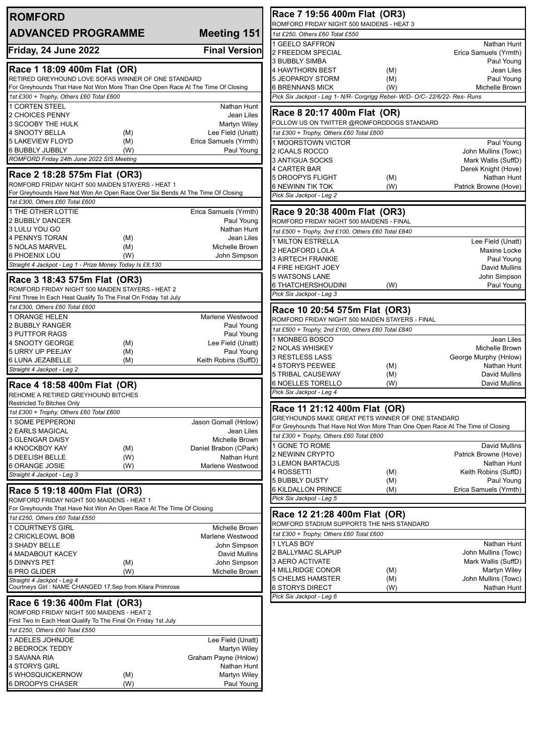| <b>ROMFORD</b>                                                                                      |                                     | Race 7 19:56 400m Flat (OR3)                                                                          |            |                                            |
|-----------------------------------------------------------------------------------------------------|-------------------------------------|-------------------------------------------------------------------------------------------------------|------------|--------------------------------------------|
| <b>ADVANCED PROGRAMME</b>                                                                           | <b>Meeting 151</b>                  | ROMFORD FRIDAY NIGHT 500 MAIDENS - HEAT 3<br>1st £250, Others £60 Total £550                          |            |                                            |
|                                                                                                     |                                     | 1 GEELO SAFFRON                                                                                       |            | Nathan Hunt                                |
| Friday, 24 June 2022                                                                                | <b>Final Version</b>                | 2 FREEDOM SPECIAL                                                                                     |            | Erica Samuels (Yrmth)                      |
| Race 1 18:09 400m Flat (OR)                                                                         |                                     | <b>3 BUBBLY SIMBA</b><br>4 HAWTHORN BEST                                                              | (M)        | Paul Young<br>Jean Liles                   |
| RETIRED GREYHOUND LOVE SOFAS WINNER OF ONE STANDARD                                                 |                                     | 5 JEOPARDY STORM                                                                                      | (M)        | Paul Young                                 |
| For Greyhounds That Have Not Won More Than One Open Race At The Time Of Closing                     |                                     | <b>6 BRENNANS MICK</b>                                                                                | (W)        | Michelle Brown                             |
| 1st £300 + Trophy, Others £60 Total £600                                                            |                                     | Pick Six Jackpot - Leg 1- N/R- Corgrigg Rebel- W/D- O/C- 22/6/22- Res- Runs                           |            |                                            |
| 1 CORTEN STEEL<br>2 CHOICES PENNY                                                                   | Nathan Hunt<br>Jean Liles           | Race 8 20:17 400m Flat (OR)                                                                           |            |                                            |
| 3 SCOOBY THE HULK                                                                                   | Martyn Wiley                        | FOLLOW US ON TWITTER @ROMFORDDOGS STANDARD                                                            |            |                                            |
| 4 SNOOTY BELLA<br>(M)                                                                               | Lee Field (Unatt)                   | 1st £300 + Trophy, Others £60 Total £600                                                              |            |                                            |
| <b>5 LAKEVIEW FLOYD</b><br>(M)<br>6 BUBBLY JUBBLY<br>(W)                                            | Erica Samuels (Yrmth)<br>Paul Young | 1 MOORSTOWN VICTOR                                                                                    |            | Paul Young                                 |
| ROMFORD Friday 24th June 2022 SIS Meeting                                                           |                                     | 2 ICAALS ROCCO<br>3 ANTIGUA SOCKS                                                                     |            | John Mullins (Towc)<br>Mark Wallis (SuffD) |
|                                                                                                     |                                     | 4 CARTER BAR                                                                                          |            | Derek Knight (Hove)                        |
| Race 2 18:28 575m Flat (OR3)<br>ROMFORD FRIDAY NIGHT 500 MAIDEN STAYERS - HEAT 1                    |                                     | <b>5 DROOPYS FLIGHT</b>                                                                               | (M)        | Nathan Hunt                                |
| For Greyhounds Have Not Won An Open Race Over Six Bends At The Time Of Closing                      |                                     | <b>6 NEWINN TIK TOK</b><br>Pick Six Jackpot - Leg 2                                                   | (W)        | Patrick Browne (Hove)                      |
| 1st £300, Others £60 Total £600                                                                     |                                     |                                                                                                       |            |                                            |
| <b>1 THE OTHER LOTTIE</b>                                                                           | Erica Samuels (Yrmth)               | Race 9 20:38 400m Flat (OR3)                                                                          |            |                                            |
| 2 BUBBLY DANCER<br>3 LULU YOU GO                                                                    | Paul Young<br>Nathan Hunt           | ROMFORD FRIDAY NIGHT 500 MAIDENS - FINAL                                                              |            |                                            |
| 4 PENNYS TORAN<br>(M)                                                                               | Jean Liles                          | 1st £500 + Trophy, 2nd £100, Others £60 Total £840                                                    |            |                                            |
| 5 NOLAS MARVEL<br>(M)                                                                               | Michelle Brown                      | 1 MILTON ESTRELLA<br>2 HEADFORD LOLA                                                                  |            | Lee Field (Unatt)<br>Maxine Locke          |
| 6 PHOENIX LOU<br>(W)                                                                                | John Simpson                        | <b>3 AIRTECH FRANKIE</b>                                                                              |            | Paul Young                                 |
| Straight 4 Jackpot - Leg 1 - Prize Money Today Is £8,130                                            |                                     | 4 FIRE HEIGHT JOEY                                                                                    |            | David Mullins                              |
| Race 3 18:43 575m Flat (OR3)                                                                        |                                     | 5 WATSONS LANE                                                                                        |            | John Simpson                               |
| ROMFORD FRIDAY NIGHT 500 MAIDEN STAYERS - HEAT 2                                                    |                                     | 6 THATCHERSHOUDINI<br>Pick Six Jackpot - Leg 3                                                        | (W)        | Paul Young                                 |
| First Three In Each Heat Qualify To The Final On Friday 1st July<br>1st £300, Others £60 Total £600 |                                     |                                                                                                       |            |                                            |
| 1 ORANGE HELEN                                                                                      | Marlene Westwood                    | Race 10 20:54 575m Flat (OR3)                                                                         |            |                                            |
| 2 BUBBLY RANGER                                                                                     | Paul Young                          | ROMFORD FRIDAY NIGHT 500 MAIDEN STAYERS - FINAL<br>1st £500 + Trophy, 2nd £100, Others £60 Total £840 |            |                                            |
| 3 PUTTFOR RAGS                                                                                      | Paul Young                          | 1 MONBEG BOSCO                                                                                        |            | Jean Liles                                 |
| 4 SNOOTY GEORGE<br>(M)<br>5 URRY UP PEEJAY<br>(M)                                                   | Lee Field (Unatt)<br>Paul Young     | 2 NOLAS WHISKEY                                                                                       |            | Michelle Brown                             |
| 6 LUNA JEZABELLE<br>(M)                                                                             | Keith Robins (SuffD)                | 3 RESTLESS LASS                                                                                       |            | George Murphy (Hnlow)                      |
| Straight 4 Jackpot - Leg 2                                                                          |                                     | 4 STORYS PEEWEE<br>5 TRIBAL CAUSEWAY                                                                  | (M)<br>(M) | Nathan Hunt<br>David Mullins               |
| Race 4 18:58 400m Flat (OR)                                                                         |                                     | <b>6 NOELLES TORELLO</b>                                                                              | (W)        | <b>David Mullins</b>                       |
| REHOME A RETIRED GREYHOUND BITCHES                                                                  |                                     | Pick Six Jackpot - Leg 4                                                                              |            |                                            |
| <b>Restricted To Bitches Only</b>                                                                   |                                     | Race 11 21:12 400m Flat (OR)                                                                          |            |                                            |
| 1st £300 + Trophy, Others £60 Total £600<br>1 SOME PEPPERONI                                        | Jason Gornall (Hnlow)               | GREYHOUNDS MAKE GREAT PETS WINNER OF ONE STANDARD                                                     |            |                                            |
| 2 EARLS MAGICAL                                                                                     | Jean Liles                          | For Greyhounds That Have Not Won More Than One Open Race At The Time of Closing                       |            |                                            |
| <b>3 GLENGAR DAISY</b>                                                                              | Michelle Brown                      | 1st £300 + Trophy, Others £60 Total £600                                                              |            |                                            |
| 4 KNOCKBOY KAY<br>(M)                                                                               | Daniel Brabon (CPark)               | 1 GONE TO ROME<br>2 NEWINN CRYPTO                                                                     |            | David Mullins<br>Patrick Browne (Hove)     |
| <b>5 DEELISH BELLE</b><br>(W)<br>6 ORANGE JOSIE<br>(W)                                              | Nathan Hunt<br>Marlene Westwood     | 3 LEMON BARTACUS                                                                                      |            | Nathan Hunt                                |
| Straight 4 Jackpot - Leg 3                                                                          |                                     | 4 ROSSETTI                                                                                            | (M)        | Keith Robins (SuffD)                       |
|                                                                                                     |                                     | <b>5 BUBBLY DUSTY</b><br><b>6 KILDALLON PRINCE</b>                                                    | (M)        | Paul Young<br>Erica Samuels (Yrmth)        |
| Race 5 19:18 400m Flat (OR3)<br>ROMFORD FRIDAY NIGHT 500 MAIDENS - HEAT 1                           |                                     | Pick Six Jackpot - Leg 5                                                                              | (M)        |                                            |
| For Greyhounds That Have Not Won An Open Race At The Time Of Closing                                |                                     |                                                                                                       |            |                                            |
| 1st £250, Others £60 Total £550                                                                     |                                     | Race 12 21:28 400m Flat (OR)<br>ROMFORD STADIUM SUPPORTS THE NHS STANDARD                             |            |                                            |
| 1 COURTNEYS GIRL                                                                                    | Michelle Brown                      | 1st £300 + Trophy, Others £60 Total £600                                                              |            |                                            |
| 2 CRICKLEOWL BOB<br>3 SHADY BELLE                                                                   | Marlene Westwood<br>John Simpson    | 1 LYLAS BOY                                                                                           |            | Nathan Hunt                                |
| 4 MADABOUT KACEY                                                                                    | David Mullins                       | 2 BALLYMAC SLAPUP                                                                                     |            | John Mullins (Towc)                        |
| 5 DINNYS PET<br>(M)                                                                                 | John Simpson                        | 3 AERO ACTIVATE                                                                                       |            | Mark Wallis (SuffD)                        |
| 6 PRO GLIDER<br>(W)<br>Straight 4 Jackpot - Leg 4                                                   | Michelle Brown                      | 4 MILLRIDGE CONOR<br><b>5 CHELMS HAMSTER</b>                                                          | (M)<br>(M) | Martyn Wiley<br>John Mullins (Towc)        |
| Courtneys Girl: NAME CHANGED 17.Sep from Kilara Primrose                                            |                                     | <b>6 STORYS DIRECT</b>                                                                                | (W)        | Nathan Hunt                                |
| Race 6 19:36 400m Flat (OR3)                                                                        |                                     | Pick Six Jackpot - Leg 6                                                                              |            |                                            |
| ROMFORD FRIDAY NIGHT 500 MAIDENS - HEAT 2                                                           |                                     |                                                                                                       |            |                                            |
| First Two In Each Heat Qualify To The Final On Friday 1st July                                      |                                     |                                                                                                       |            |                                            |
| 1st £250, Others £60 Total £550                                                                     |                                     |                                                                                                       |            |                                            |
| 1 ADELES JOHNJOE<br>2 BEDROCK TEDDY                                                                 | Lee Field (Unatt)<br>Martyn Wiley   |                                                                                                       |            |                                            |
| 3 SAVANA RIA                                                                                        | Graham Payne (Hnlow)                |                                                                                                       |            |                                            |
| 4 STORYS GIRL                                                                                       | Nathan Hunt                         |                                                                                                       |            |                                            |
| 5 WHOSQUICKERNOW<br>(M)                                                                             | Martyn Wiley                        |                                                                                                       |            |                                            |
| 6 DROOPYS CHASER<br>(W)                                                                             | Paul Young                          |                                                                                                       |            |                                            |
|                                                                                                     |                                     |                                                                                                       |            |                                            |